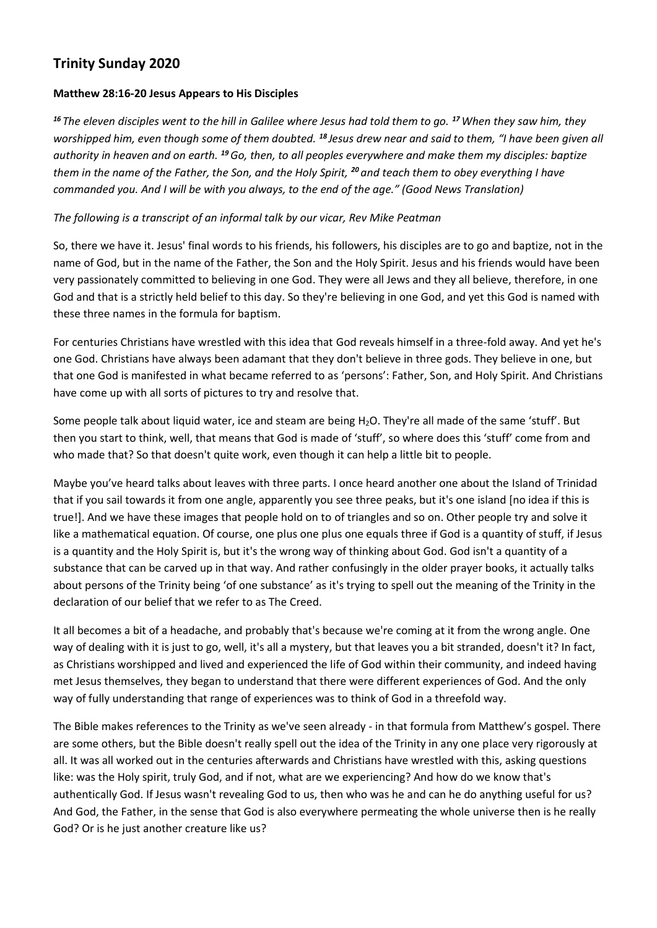## **Trinity Sunday 2020**

## **Matthew 28:16-20 Jesus Appears to His Disciples**

*<sup>16</sup> The eleven disciples went to the hill in Galilee where Jesus had told them to go. <sup>17</sup>When they saw him, they worshipped him, even though some of them doubted. <sup>18</sup> Jesus drew near and said to them, "I have been given all authority in heaven and on earth. <sup>19</sup>Go, then, to all peoples everywhere and make them my disciples: baptize them in the name of the Father, the Son, and the Holy Spirit, <sup>20</sup> and teach them to obey everything I have commanded you. And I will be with you always, to the end of the age." (Good News Translation)*

## *The following is a transcript of an informal talk by our vicar, Rev Mike Peatman*

So, there we have it. Jesus' final words to his friends, his followers, his disciples are to go and baptize, not in the name of God, but in the name of the Father, the Son and the Holy Spirit. Jesus and his friends would have been very passionately committed to believing in one God. They were all Jews and they all believe, therefore, in one God and that is a strictly held belief to this day. So they're believing in one God, and yet this God is named with these three names in the formula for baptism.

For centuries Christians have wrestled with this idea that God reveals himself in a three-fold away. And yet he's one God. Christians have always been adamant that they don't believe in three gods. They believe in one, but that one God is manifested in what became referred to as 'persons': Father, Son, and Holy Spirit. And Christians have come up with all sorts of pictures to try and resolve that.

Some people talk about liquid water, ice and steam are being H2O. They're all made of the same 'stuff'. But then you start to think, well, that means that God is made of 'stuff', so where does this 'stuff' come from and who made that? So that doesn't quite work, even though it can help a little bit to people.

Maybe you've heard talks about leaves with three parts. I once heard another one about the Island of Trinidad that if you sail towards it from one angle, apparently you see three peaks, but it's one island [no idea if this is true!]. And we have these images that people hold on to of triangles and so on. Other people try and solve it like a mathematical equation. Of course, one plus one plus one equals three if God is a quantity of stuff, if Jesus is a quantity and the Holy Spirit is, but it's the wrong way of thinking about God. God isn't a quantity of a substance that can be carved up in that way. And rather confusingly in the older prayer books, it actually talks about persons of the Trinity being 'of one substance' as it's trying to spell out the meaning of the Trinity in the declaration of our belief that we refer to as The Creed.

It all becomes a bit of a headache, and probably that's because we're coming at it from the wrong angle. One way of dealing with it is just to go, well, it's all a mystery, but that leaves you a bit stranded, doesn't it? In fact, as Christians worshipped and lived and experienced the life of God within their community, and indeed having met Jesus themselves, they began to understand that there were different experiences of God. And the only way of fully understanding that range of experiences was to think of God in a threefold way.

The Bible makes references to the Trinity as we've seen already - in that formula from Matthew's gospel. There are some others, but the Bible doesn't really spell out the idea of the Trinity in any one place very rigorously at all. It was all worked out in the centuries afterwards and Christians have wrestled with this, asking questions like: was the Holy spirit, truly God, and if not, what are we experiencing? And how do we know that's authentically God. If Jesus wasn't revealing God to us, then who was he and can he do anything useful for us? And God, the Father, in the sense that God is also everywhere permeating the whole universe then is he really God? Or is he just another creature like us?